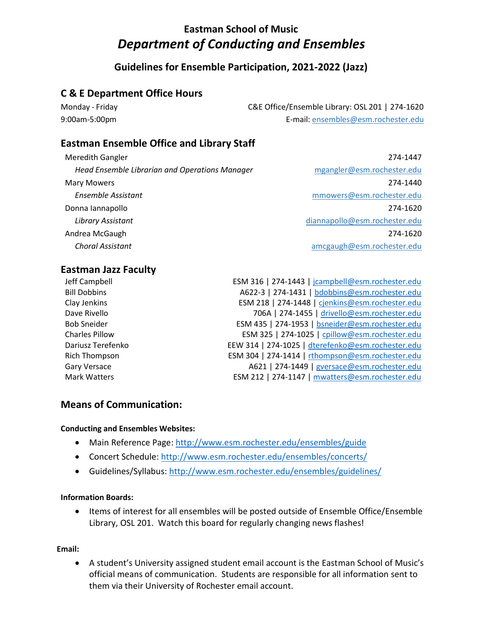# **Eastman School of Music** *Department of Conducting and Ensembles*

# **Guidelines for Ensemble Participation, 2021-2022 (Jazz)**

# **C & E Department Office Hours**

| Monday - Friday | C&E Office/Ensemble Library: OSL 201   274-1620 |
|-----------------|-------------------------------------------------|
| 9:00am-5:00pm   | E-mail: ensembles@esm.rochester.edu             |

## **Eastman Ensemble Office and Library Staff**

| <b>Meredith Gangler</b>                        | 274-1447                      |
|------------------------------------------------|-------------------------------|
| Head Ensemble Librarian and Operations Manager | mgangler@esm.rochester.edu    |
| <b>Mary Mowers</b>                             | 274-1440                      |
| Ensemble Assistant                             | mmowers@esm.rochester.edu     |
| Donna Iannapollo                               | 274-1620                      |
| Library Assistant                              | diannapollo@esm.rochester.edu |
| Andrea McGaugh                                 | 274-1620                      |
| <b>Choral Assistant</b>                        | amcgaugh@esm.rochester.edu    |

### **Eastman Jazz Faculty**

| Jeff Campbell         | ESM 316   274-1443   jcampbell@esm.rochester.edu  |
|-----------------------|---------------------------------------------------|
| <b>Bill Dobbins</b>   | A622-3   274-1431   bdobbins@esm.rochester.edu    |
| Clay Jenkins          | ESM 218   274-1448   cjenkins@esm.rochester.edu   |
| Dave Rivello          | 706A   274-1455   drivello@esm.rochester.edu      |
| <b>Bob Sneider</b>    | ESM 435   274-1953   bsneider@esm.rochester.edu   |
| <b>Charles Pillow</b> | ESM 325   274-1025   cpillow@esm.rochester.edu    |
| Dariusz Terefenko     | EEW 314   274-1025   dterefenko@esm.rochester.edu |
| Rich Thompson         | ESM 304   274-1414   rthompson@esm.rochester.edu  |
| <b>Gary Versace</b>   | A621   274-1449   gversace@esm.rochester.edu      |
| <b>Mark Watters</b>   | ESM 212   274-1147   mwatters@esm.rochester.edu   |

## **Means of Communication:**

### **Conducting and Ensembles Websites:**

- Main Reference Page[: http://www.esm.rochester.edu/ensembles/guide](http://www.esm.rochester.edu/ensembles/guide)
- Concert Schedule:<http://www.esm.rochester.edu/ensembles/concerts/>
- Guidelines/Syllabus:<http://www.esm.rochester.edu/ensembles/guidelines/>

### **Information Boards:**

• Items of interest for all ensembles will be posted outside of Ensemble Office/Ensemble Library, OSL 201. Watch this board for regularly changing news flashes!

### **Email:**

 A student's University assigned student email account is the Eastman School of Music's official means of communication. Students are responsible for all information sent to them via their University of Rochester email account.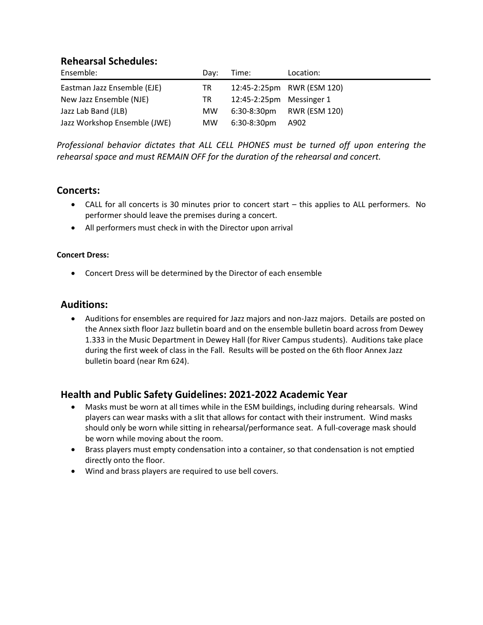### **Rehearsal Schedules:**

| Ensemble:                    | Dav: | Time:                    | Location:                  |
|------------------------------|------|--------------------------|----------------------------|
| Eastman Jazz Ensemble (EJE)  | TR   |                          | 12:45-2:25pm RWR (ESM 120) |
| New Jazz Ensemble (NJE)      | TR   | 12:45-2:25pm Messinger 1 |                            |
| Jazz Lab Band (JLB)          | MW.  |                          | 6:30-8:30pm RWR (ESM 120)  |
| Jazz Workshop Ensemble (JWE) | MW.  | 6:30-8:30pm              | A902                       |

*Professional behavior dictates that ALL CELL PHONES must be turned off upon entering the rehearsal space and must REMAIN OFF for the duration of the rehearsal and concert.*

### **Concerts:**

- CALL for all concerts is 30 minutes prior to concert start this applies to ALL performers. No performer should leave the premises during a concert.
- All performers must check in with the Director upon arrival

### **Concert Dress:**

Concert Dress will be determined by the Director of each ensemble

### **Auditions:**

 Auditions for ensembles are required for Jazz majors and non-Jazz majors. Details are posted on the Annex sixth floor Jazz bulletin board and on the ensemble bulletin board across from Dewey 1.333 in the Music Department in Dewey Hall (for River Campus students). Auditions take place during the first week of class in the Fall. Results will be posted on the 6th floor Annex Jazz bulletin board (near Rm 624).

## **Health and Public Safety Guidelines: 2021-2022 Academic Year**

- Masks must be worn at all times while in the ESM buildings, including during rehearsals. Wind players can wear masks with a slit that allows for contact with their instrument. Wind masks should only be worn while sitting in rehearsal/performance seat. A full-coverage mask should be worn while moving about the room.
- Brass players must empty condensation into a container, so that condensation is not emptied directly onto the floor.
- Wind and brass players are required to use bell covers.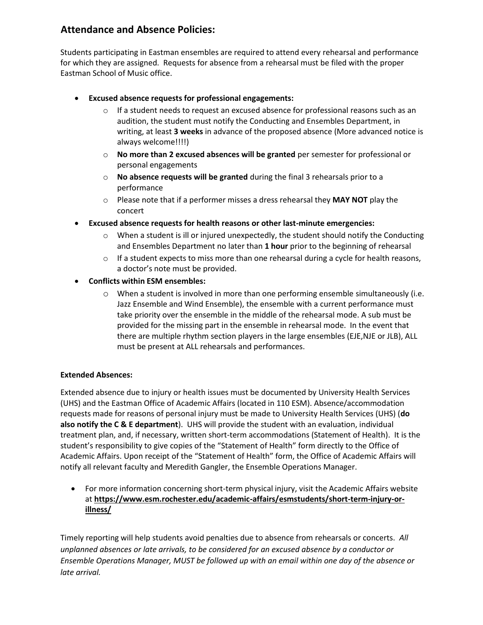# **Attendance and Absence Policies:**

Students participating in Eastman ensembles are required to attend every rehearsal and performance for which they are assigned. Requests for absence from a rehearsal must be filed with the proper Eastman School of Music office.

- **Excused absence requests for professional engagements:** 
	- $\circ$  If a student needs to request an excused absence for professional reasons such as an audition, the student must notify the Conducting and Ensembles Department, in writing, at least **3 weeks** in advance of the proposed absence (More advanced notice is always welcome!!!!)
	- o **No more than 2 excused absences will be granted** per semester for professional or personal engagements
	- o **No absence requests will be granted** during the final 3 rehearsals prior to a performance
	- o Please note that if a performer misses a dress rehearsal they **MAY NOT** play the concert
- **Excused absence requests for health reasons or other last-minute emergencies:**
	- $\circ$  When a student is ill or injured unexpectedly, the student should notify the Conducting and Ensembles Department no later than **1 hour** prior to the beginning of rehearsal
	- $\circ$  If a student expects to miss more than one rehearsal during a cycle for health reasons, a doctor's note must be provided.
- **Conflicts within ESM ensembles:**
	- o When a student is involved in more than one performing ensemble simultaneously (i.e. Jazz Ensemble and Wind Ensemble), the ensemble with a current performance must take priority over the ensemble in the middle of the rehearsal mode. A sub must be provided for the missing part in the ensemble in rehearsal mode. In the event that there are multiple rhythm section players in the large ensembles (EJE,NJE or JLB), ALL must be present at ALL rehearsals and performances.

### **Extended Absences:**

Extended absence due to injury or health issues must be documented by University Health Services (UHS) and the Eastman Office of Academic Affairs (located in 110 ESM). Absence/accommodation requests made for reasons of personal injury must be made to University Health Services (UHS) (**do also notify the C & E department**). UHS will provide the student with an evaluation, individual treatment plan, and, if necessary, written short-term accommodations (Statement of Health). It is the student's responsibility to give copies of the "Statement of Health" form directly to the Office of Academic Affairs. Upon receipt of the "Statement of Health" form, the Office of Academic Affairs will notify all relevant faculty and Meredith Gangler, the Ensemble Operations Manager.

 For more information concerning short-term physical injury, visit the Academic Affairs website at **[https://www.esm.rochester.edu/academic-affairs/esmstudents/short-term-injury-or](https://www.esm.rochester.edu/academic-affairs/esmstudents/short-term-injury-or-illness/)[illness/](https://www.esm.rochester.edu/academic-affairs/esmstudents/short-term-injury-or-illness/)**

Timely reporting will help students avoid penalties due to absence from rehearsals or concerts. *All unplanned absences or late arrivals, to be considered for an excused absence by a conductor or Ensemble Operations Manager, MUST be followed up with an email within one day of the absence or late arrival.*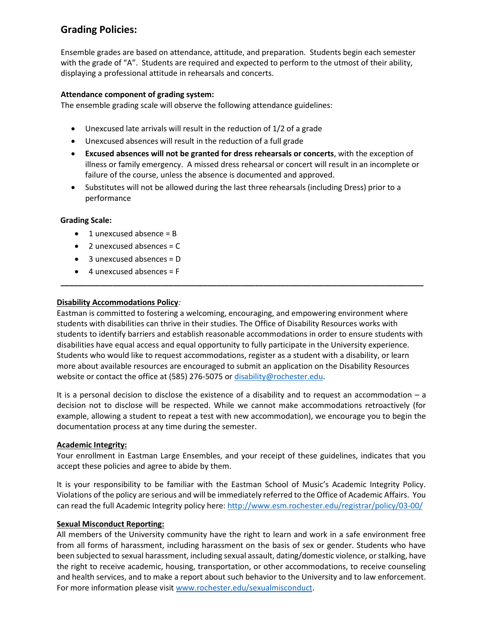# **Grading Policies:**

Ensemble grades are based on attendance, attitude, and preparation. Students begin each semester with the grade of "A". Students are required and expected to perform to the utmost of their ability, displaying a professional attitude in rehearsals and concerts.

### **Attendance component of grading system:**

The ensemble grading scale will observe the following attendance guidelines:

- Unexcused late arrivals will result in the reduction of 1/2 of a grade
- Unexcused absences will result in the reduction of a full grade
- **Excused absences will not be granted for dress rehearsals or concerts**, with the exception of illness or family emergency. A missed dress rehearsal or concert will result in an incomplete or failure of the course, unless the absence is documented and approved.
- Substitutes will not be allowed during the last three rehearsals (including Dress) prior to a performance

### **Grading Scale:**

- $\bullet$  1 unexcused absence = B
- $\bullet$  2 unexcused absences = C
- 3 unexcused absences = D
- $\bullet$  4 unexcused absences = F

### **Disability Accommodations Policy***:*

Eastman is committed to fostering a welcoming, encouraging, and empowering environment where students with disabilities can thrive in their studies. The Office of Disability Resources works with students to identify barriers and establish reasonable accommodations in order to ensure students with disabilities have equal access and equal opportunity to fully participate in the University experience. Students who would like to request accommodations, register as a student with a disability, or learn more about available resources are encouraged to submit an application on the Disability Resources website or contact the office at (585) 276-5075 or [disability@rochester.edu.](mailto:disability@rochester.edu)

**\_\_\_\_\_\_\_\_\_\_\_\_\_\_\_\_\_\_\_\_\_\_\_\_\_\_\_\_\_\_\_\_\_\_\_\_\_\_\_\_\_\_\_\_\_\_\_\_\_\_\_\_\_\_\_\_\_\_\_\_\_\_\_\_\_\_\_\_\_\_\_\_\_\_\_\_\_\_\_\_\_\_\_\_**

It is a personal decision to disclose the existence of a disability and to request an accommodation – a decision not to disclose will be respected. While we cannot make accommodations retroactively (for example, allowing a student to repeat a test with new accommodation), we encourage you to begin the documentation process at any time during the semester.

### **Academic Integrity:**

Your enrollment in Eastman Large Ensembles, and your receipt of these guidelines, indicates that you accept these policies and agree to abide by them.

It is your responsibility to be familiar with the Eastman School of Music's Academic Integrity Policy. Violations of the policy are serious and will be immediately referred to the Office of Academic Affairs. You can read the full Academic Integrity policy here:<http://www.esm.rochester.edu/registrar/policy/03-00/>

### **Sexual Misconduct Reporting:**

All members of the University community have the right to learn and work in a safe environment free from all forms of harassment, including harassment on the basis of sex or gender. Students who have been subjected to sexual harassment, including sexual assault, dating/domestic violence, or stalking, have the right to receive academic, housing, transportation, or other accommodations, to receive counseling and health services, and to make a report about such behavior to the University and to law enforcement. For more information please visit [www.rochester.edu/sexualmisconduct.](http://www.rochester.edu/sexualmisconduct)